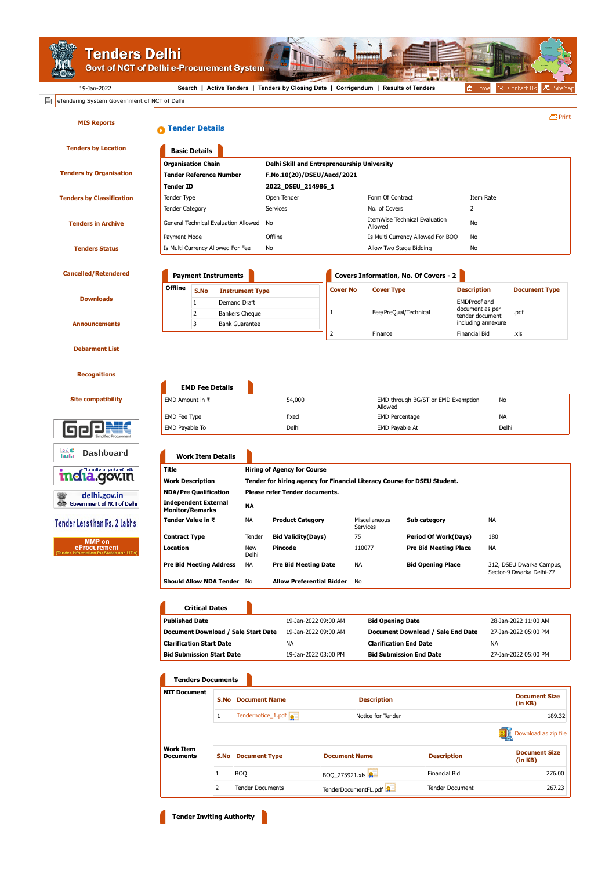**Tenders Delhi**<br>Govt of NCT of Delhi e-Procurement System

19-Jan-2022 **[Search](https://govtprocurement.delhi.gov.in/nicgep/app?page=FrontEndAdvancedSearch&service=page) | [Active Tenders](https://govtprocurement.delhi.gov.in/nicgep/app?page=FrontEndLatestActiveTenders&service=page) | [Tenders by Closing Date](https://govtprocurement.delhi.gov.in/nicgep/app?page=FrontEndListTendersbyDate&service=page) | [Corrigendum](https://govtprocurement.delhi.gov.in/nicgep/app?page=FrontEndLatestActiveCorrigendums&service=page) | [Results of Tenders](https://govtprocurement.delhi.gov.in/nicgep/app?page=ResultOfTenders&service=page)**

**Tender Inviting Authority** 

▲ Home | 図 Contact Us

| <b>MIS Reports</b>                                               | <b>Tender Details</b>                             |                                               |                          |                             |                                                                                                                |                                       |                                         |                                            |                                                                    |                                                      |                                 | 昌 Print              |  |  |
|------------------------------------------------------------------|---------------------------------------------------|-----------------------------------------------|--------------------------|-----------------------------|----------------------------------------------------------------------------------------------------------------|---------------------------------------|-----------------------------------------|--------------------------------------------|--------------------------------------------------------------------|------------------------------------------------------|---------------------------------|----------------------|--|--|
| <b>Tenders by Location</b>                                       |                                                   | <b>Basic Details</b>                          |                          |                             |                                                                                                                |                                       |                                         |                                            |                                                                    |                                                      |                                 |                      |  |  |
|                                                                  | <b>Organisation Chain</b>                         |                                               |                          |                             | Delhi Skill and Entrepreneurship University                                                                    |                                       |                                         |                                            |                                                                    |                                                      |                                 |                      |  |  |
| <b>Tenders by Organisation</b><br><b>Tender Reference Number</b> |                                                   |                                               |                          |                             | F.No.10(20)/DSEU/Aacd/2021                                                                                     |                                       |                                         |                                            |                                                                    |                                                      |                                 |                      |  |  |
|                                                                  | <b>Tender ID</b>                                  |                                               |                          |                             | 2022_DSEU_214986_1                                                                                             |                                       |                                         |                                            |                                                                    |                                                      |                                 |                      |  |  |
| Tender Type<br><b>Tenders by Classification</b>                  |                                                   |                                               |                          | Open Tender                 |                                                                                                                |                                       | Form Of Contract                        |                                            |                                                                    | Item Rate                                            |                                 |                      |  |  |
|                                                                  | <b>Tender Category</b>                            |                                               |                          |                             | Services                                                                                                       |                                       |                                         |                                            | 2<br>No. of Covers                                                 |                                                      |                                 |                      |  |  |
| <b>Tenders in Archive</b>                                        | General Technical Evaluation Allowed              |                                               |                          |                             | No                                                                                                             |                                       |                                         | ItemWise Technical Evaluation<br>No        |                                                                    |                                                      |                                 |                      |  |  |
|                                                                  |                                                   |                                               |                          |                             | Offline                                                                                                        |                                       |                                         | Allowed                                    |                                                                    |                                                      |                                 |                      |  |  |
|                                                                  | Payment Mode<br>Is Multi Currency Allowed For Fee |                                               |                          |                             |                                                                                                                |                                       |                                         |                                            | Is Multi Currency Allowed For BOQ<br>No<br>Allow Two Stage Bidding |                                                      |                                 |                      |  |  |
| <b>Tenders Status</b>                                            |                                                   |                                               |                          |                             | No                                                                                                             |                                       |                                         |                                            |                                                                    | No                                                   |                                 |                      |  |  |
| <b>Cancelled/Retendered</b><br><b>Payment Instruments</b>        |                                                   |                                               |                          |                             |                                                                                                                |                                       |                                         | Covers Information, No. Of Covers - 2      |                                                                    |                                                      |                                 |                      |  |  |
|                                                                  | <b>Offline</b><br>S.No<br><b>Instrument Type</b>  |                                               |                          |                             |                                                                                                                |                                       | <b>Cover No</b>                         | <b>Cover Type</b>                          |                                                                    | <b>Description</b>                                   |                                 | <b>Document Type</b> |  |  |
| <b>Downloads</b>                                                 |                                                   | $\mathbf{1}$                                  | Demand Draft             |                             |                                                                                                                |                                       |                                         |                                            |                                                                    |                                                      | <b>EMDProof and</b>             |                      |  |  |
|                                                                  |                                                   | $\overline{2}$                                |                          | <b>Bankers Cheque</b>       |                                                                                                                |                                       | 1                                       |                                            | Fee/PreQual/Technical                                              | document as per<br>tender document                   |                                 | .pdf                 |  |  |
| <b>Announcements</b>                                             |                                                   | 3                                             |                          | <b>Bank Guarantee</b>       |                                                                                                                |                                       |                                         |                                            |                                                                    | including annexure                                   |                                 |                      |  |  |
|                                                                  |                                                   |                                               |                          |                             |                                                                                                                |                                       | $\overline{2}$                          | Finance                                    |                                                                    | <b>Financial Bid</b>                                 |                                 | .xls                 |  |  |
| <b>Debarment List</b>                                            |                                                   |                                               |                          |                             |                                                                                                                |                                       |                                         |                                            |                                                                    |                                                      |                                 |                      |  |  |
|                                                                  |                                                   |                                               |                          |                             |                                                                                                                |                                       |                                         |                                            |                                                                    |                                                      |                                 |                      |  |  |
| <b>Recognitions</b>                                              |                                                   |                                               |                          |                             |                                                                                                                |                                       |                                         |                                            |                                                                    |                                                      |                                 |                      |  |  |
|                                                                  |                                                   |                                               | <b>EMD Fee Details</b>   |                             |                                                                                                                |                                       |                                         |                                            |                                                                    |                                                      |                                 |                      |  |  |
| <b>Site compatibility</b>                                        | EMD Amount in $\bar{\tau}$                        |                                               |                          |                             | 54,000                                                                                                         |                                       |                                         | EMD through BG/ST or EMD Exemption         |                                                                    |                                                      | No                              |                      |  |  |
|                                                                  |                                                   |                                               |                          |                             |                                                                                                                | fixed                                 |                                         | Allowed                                    |                                                                    |                                                      | NA                              |                      |  |  |
| EMD Fee Type<br>EMD Payable To                                   |                                                   |                                               |                          | Delhi                       |                                                                                                                |                                       | <b>EMD Percentage</b><br>EMD Payable At |                                            |                                                                    | Delhi                                                |                                 |                      |  |  |
|                                                                  |                                                   |                                               |                          |                             |                                                                                                                |                                       |                                         |                                            |                                                                    |                                                      |                                 |                      |  |  |
| ∗⊬<br>Dashboard<br>htala                                         |                                                   |                                               | <b>Work Item Details</b> |                             |                                                                                                                |                                       |                                         |                                            |                                                                    |                                                      |                                 |                      |  |  |
| The national pertal of India                                     | <b>Title</b><br><b>Work Description</b>           |                                               |                          |                             | <b>Hiring of Agency for Course</b><br>Tender for hiring agency for Financial Literacy Course for DSEU Student. |                                       |                                         |                                            |                                                                    |                                                      |                                 |                      |  |  |
| <mark>maia.gov.in</mark>                                         |                                                   |                                               |                          |                             |                                                                                                                |                                       |                                         |                                            |                                                                    |                                                      |                                 |                      |  |  |
| delhi.gov.in                                                     |                                                   | <b>NDA/Pre Qualification</b>                  |                          |                             |                                                                                                                | <b>Please refer Tender documents.</b> |                                         |                                            |                                                                    |                                                      |                                 |                      |  |  |
| <b>Independent External</b><br>ඐ<br>Government of NCT of Delhi   |                                                   |                                               |                          | NA                          |                                                                                                                |                                       |                                         |                                            |                                                                    |                                                      |                                 |                      |  |  |
| Tender Less than Rs. 2 Lakhs                                     | <b>Monitor/Remarks</b><br>Tender Value in ₹       |                                               |                          | NА                          |                                                                                                                | <b>Product Category</b>               |                                         | Miscellaneous<br>Services                  | Sub category                                                       |                                                      | NА                              |                      |  |  |
|                                                                  | <b>Contract Type</b>                              |                                               | Tender                   | <b>Bid Validity(Days)</b>   |                                                                                                                |                                       | 75                                      | <b>Period Of Work(Days)</b>                |                                                                    | 180                                                  |                                 |                      |  |  |
| <b>MMP</b> on<br>eProcurement                                    | Location                                          |                                               | New                      | Pincode                     |                                                                                                                |                                       | 110077<br><b>Pre Bid Meeting Place</b>  |                                            |                                                                    | <b>NA</b>                                            |                                 |                      |  |  |
|                                                                  |                                                   |                                               | Delhi<br>NА              | <b>Pre Bid Meeting Date</b> |                                                                                                                |                                       | NА                                      | <b>Bid Opening Place</b>                   |                                                                    |                                                      |                                 |                      |  |  |
|                                                                  | <b>Pre Bid Meeting Address</b>                    |                                               |                          |                             |                                                                                                                |                                       |                                         |                                            |                                                                    | 312, DSEU Dwarka Campus,<br>Sector-9 Dwarka Delhi-77 |                                 |                      |  |  |
|                                                                  | <b>Should Allow NDA Tender</b> No                 |                                               |                          |                             |                                                                                                                | <b>Allow Preferential Bidder</b> No   |                                         |                                            |                                                                    |                                                      |                                 |                      |  |  |
|                                                                  |                                                   |                                               |                          |                             |                                                                                                                |                                       |                                         |                                            |                                                                    |                                                      |                                 |                      |  |  |
|                                                                  |                                                   | <b>Critical Dates</b>                         |                          |                             |                                                                                                                |                                       |                                         |                                            |                                                                    |                                                      |                                 |                      |  |  |
|                                                                  | <b>Published Date</b>                             |                                               |                          |                             |                                                                                                                | 19-Jan-2022 09:00 AM                  |                                         | <b>Bid Opening Date</b>                    |                                                                    |                                                      |                                 | 28-Jan-2022 11:00 AM |  |  |
|                                                                  | Document Download / Sale Start Date               |                                               |                          |                             | 19-Jan-2022 09:00 AM                                                                                           |                                       |                                         |                                            | Document Download / Sale End Date                                  |                                                      | 27-Jan-2022 05:00 PM            |                      |  |  |
|                                                                  | <b>Clarification Start Date</b>                   |                                               |                          |                             | NA                                                                                                             |                                       |                                         | <b>Clarification End Date</b>              |                                                                    |                                                      | ΝA                              |                      |  |  |
|                                                                  |                                                   | <b>Bid Submission Start Date</b>              |                          |                             | 19-Jan-2022 03:00 PM                                                                                           |                                       |                                         | <b>Bid Submission End Date</b>             |                                                                    |                                                      | 27-Jan-2022 05:00 PM            |                      |  |  |
|                                                                  |                                                   |                                               | <b>Tenders Documents</b> |                             |                                                                                                                |                                       |                                         |                                            |                                                                    |                                                      |                                 |                      |  |  |
|                                                                  | <b>NIT Document</b>                               |                                               |                          |                             |                                                                                                                |                                       |                                         |                                            |                                                                    |                                                      |                                 |                      |  |  |
|                                                                  | S.No                                              |                                               |                          | <b>Document Name</b>        |                                                                                                                |                                       | <b>Description</b>                      |                                            |                                                                    |                                                      | <b>Document Size</b><br>(in KB) |                      |  |  |
|                                                                  |                                                   | $\mathbf{1}$                                  |                          |                             | Tendernotice_1.pdf                                                                                             |                                       |                                         | Notice for Tender                          |                                                                    |                                                      | 189.32                          |                      |  |  |
|                                                                  |                                                   |                                               |                          |                             |                                                                                                                |                                       |                                         |                                            |                                                                    |                                                      |                                 | Download as zip file |  |  |
|                                                                  |                                                   |                                               |                          |                             |                                                                                                                |                                       |                                         |                                            |                                                                    |                                                      |                                 |                      |  |  |
|                                                                  |                                                   | <b>Work Item</b><br><b>Documents</b><br>$1\,$ |                          |                             | <b>S.No</b> Document Type                                                                                      |                                       |                                         | <b>Description</b><br><b>Document Name</b> |                                                                    |                                                      | <b>Document Size</b><br>(in KB) |                      |  |  |
|                                                                  |                                                   |                                               |                          | <b>BOQ</b>                  |                                                                                                                |                                       | BOQ_275921.xls                          |                                            |                                                                    | Financial Bid                                        |                                 | 276.00               |  |  |
|                                                                  | 2                                                 |                                               |                          |                             | <b>Tender Documents</b>                                                                                        |                                       | TenderDocumentFL.pdf                    |                                            |                                                                    | <b>Tender Document</b>                               |                                 | 267.23               |  |  |
|                                                                  |                                                   |                                               |                          |                             |                                                                                                                |                                       |                                         |                                            |                                                                    |                                                      |                                 |                      |  |  |

**Thi**